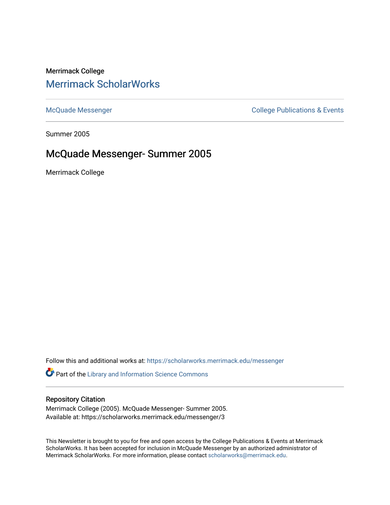# Merrimack College [Merrimack ScholarWorks](https://scholarworks.merrimack.edu/)

[McQuade Messenger](https://scholarworks.merrimack.edu/messenger) College Publications & Events

Summer 2005

## McQuade Messenger- Summer 2005

Merrimack College

Follow this and additional works at: [https://scholarworks.merrimack.edu/messenger](https://scholarworks.merrimack.edu/messenger?utm_source=scholarworks.merrimack.edu%2Fmessenger%2F3&utm_medium=PDF&utm_campaign=PDFCoverPages) 

Part of the [Library and Information Science Commons](http://network.bepress.com/hgg/discipline/1018?utm_source=scholarworks.merrimack.edu%2Fmessenger%2F3&utm_medium=PDF&utm_campaign=PDFCoverPages) 

#### Repository Citation

Merrimack College (2005). McQuade Messenger- Summer 2005. Available at: https://scholarworks.merrimack.edu/messenger/3

This Newsletter is brought to you for free and open access by the College Publications & Events at Merrimack ScholarWorks. It has been accepted for inclusion in McQuade Messenger by an authorized administrator of Merrimack ScholarWorks. For more information, please contact [scholarworks@merrimack.edu](mailto:scholarworks@merrimack.edu).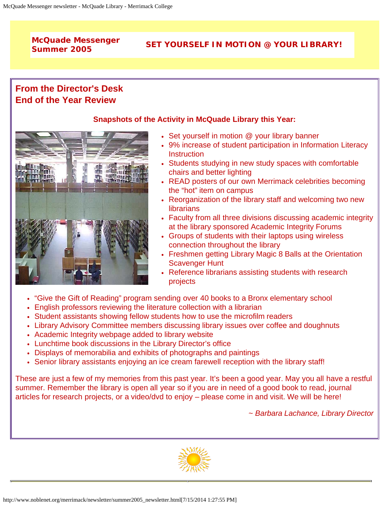# **McQuade Messenger**

# **Summer 2005 SET YOURSELF IN MOTION @ YOUR LIBRARY!**

# **From the Director's Desk End of the Year Review**



#### **Snapshots of the Activity in McQuade Library this Year:**

- Set yourself in motion @ your library banner
- 9% increase of student participation in Information Literacy **Instruction**
- Students studying in new study spaces with comfortable chairs and better lighting
- READ posters of our own Merrimack celebrities becoming the "hot" item on campus
- Reorganization of the library staff and welcoming two new librarians
- Faculty from all three divisions discussing academic integrity at the library sponsored Academic Integrity Forums
- Groups of students with their laptops using wireless connection throughout the library
- Freshmen getting Library Magic 8 Balls at the Orientation Scavenger Hunt
- Reference librarians assisting students with research projects
- "Give the Gift of Reading" program sending over 40 books to a Bronx elementary school
- English professors reviewing the literature collection with a librarian
- Student assistants showing fellow students how to use the microfilm readers
- Library Advisory Committee members discussing library issues over coffee and doughnuts
- Academic Integrity webpage added to library website
- Lunchtime book discussions in the Library Director's office
- Displays of memorabilia and exhibits of photographs and paintings
- Senior library assistants enjoying an ice cream farewell reception with the library staff!

These are just a few of my memories from this past year. It's been a good year. May you all have a restful summer. Remember the library is open all year so if you are in need of a good book to read, journal articles for research projects, or a video/dvd to enjoy – please come in and visit. We will be here!

*~ Barbara Lachance, Library Director*

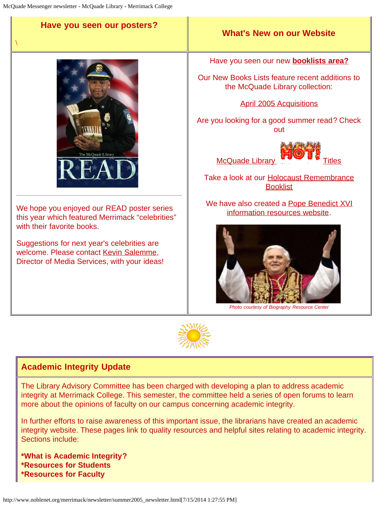$\setminus$ 

#### **Have you seen our posters?**



We hope you enjoyed our READ poster series this year which featured Merrimack "celebrities" with their favorite books.

Suggestions for next year's celebrities are welcome. Please contact [Kevin Salemme,](mailto:kevin.salemme@Merrimack.edu) Director of Media Services, with your ideas!

#### **What's New on our Website**

Have you seen our new **[booklists area?](http://www.noblenet.org/merrimack/booklists/booklists.htm)**

Our New Books Lists feature recent additions to the McQuade Library collection:

[April 2005 Acquisitions](http://www.noblenet.org/merrimack/booklists/apr05.htm)

Are you looking for a good summer read? Check out

**McQuade Library** 

Take a look at our **Holocaust Remembrance [Booklist](http://www.noblenet.org/merrimack/booklists/holocaust.htm)** 

We have also created a [Pope Benedict XVI](http://www.noblenet.org/merrimack/booklists/Pope.htm) [information resources website.](http://www.noblenet.org/merrimack/booklists/Pope.htm)



*Photo courtesy of Biography Resource Center*



#### **Academic Integrity Update**

The Library Advisory Committee has been charged with developing a plan to address academic integrity at Merrimack College. This semester, the committee held a series of open forums to learn more about the opinions of faculty on our campus concerning academic integrity.

In further efforts to raise awareness of this important issue, the librarians have created an academic integrity website. These pages link to quality resources and helpful sites relating to academic integrity. Sections include:

**\*What is Academic Integrity? \*Resources for Students \*Resources for Faculty**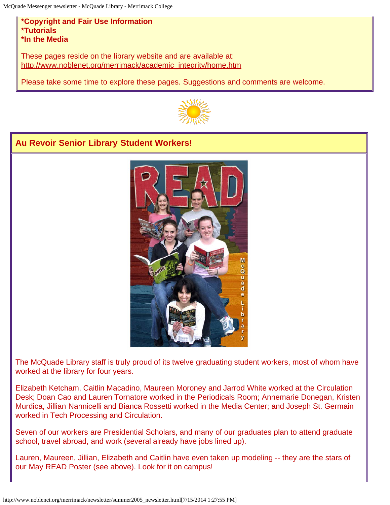#### **\*Copyright and Fair Use Information \*Tutorials \*In the Media**

These pages reside on the library website and are available at: [http://www.noblenet.org/merrimack/academic\\_integrity/home.htm](http://www.noblenet.org/merrimack/academic_integrity/home.htm)

Please take some time to explore these pages. Suggestions and comments are welcome.



### **Au Revoir Senior Library Student Workers!**



The McQuade Library staff is truly proud of its twelve graduating student workers, most of whom have worked at the library for four years.

Elizabeth Ketcham, Caitlin Macadino, Maureen Moroney and Jarrod White worked at the Circulation Desk; Doan Cao and Lauren Tornatore worked in the Periodicals Room; Annemarie Donegan, Kristen Murdica, Jillian Nannicelli and Bianca Rossetti worked in the Media Center; and Joseph St. Germain worked in Tech Processing and Circulation.

Seven of our workers are Presidential Scholars, and many of our graduates plan to attend graduate school, travel abroad, and work (several already have jobs lined up).

Lauren, Maureen, Jillian, Elizabeth and Caitlin have even taken up modeling -- they are the stars of our May READ Poster (see above). Look for it on campus!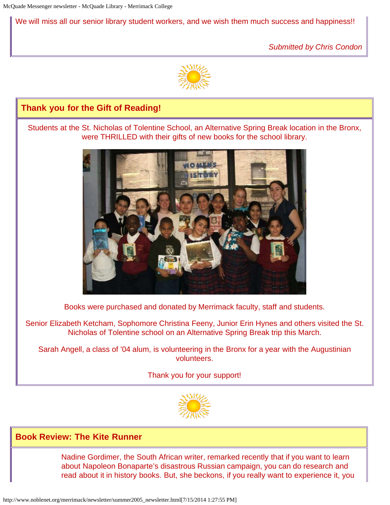We will miss all our senior library student workers, and we wish them much success and happiness!!

*Submitted by Chris Condon*





Nadine Gordimer, the South African writer, remarked recently that if you want to learn about Napoleon Bonaparte's disastrous Russian campaign, you can do research and read about it in history books. But, she beckons, if you really want to experience it, you